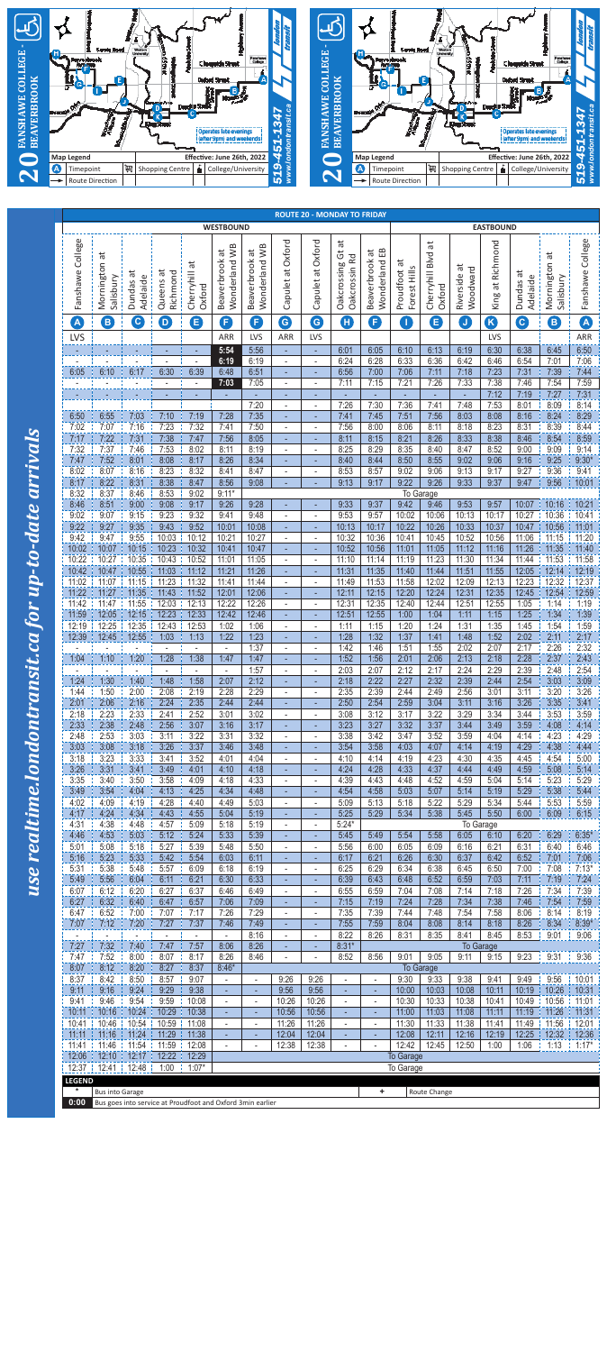



|                     |                            |                                                            |                         |                           | <b>WESTBOUND</b>                           |                                                      |                                            |                               | <b>ROUTE 20 - MONDAY TO FRIDAY</b>                  |                                              |                                                |                                |                                   | <b>EASTBOUND</b>         |                         |                            |                      |
|---------------------|----------------------------|------------------------------------------------------------|-------------------------|---------------------------|--------------------------------------------|------------------------------------------------------|--------------------------------------------|-------------------------------|-----------------------------------------------------|----------------------------------------------|------------------------------------------------|--------------------------------|-----------------------------------|--------------------------|-------------------------|----------------------------|----------------------|
| College<br>Fanshawe | Mornington at<br>Salisbury | ᄫ<br>Adelaide<br>Dundas                                    | Queens at<br>Richmond   | ä<br>Cherryhill<br>Oxford | Wonderland WB<br>ä<br>Beaverbrook          | Wonderland WB<br>Beaverbrook at                      | Capulet at Oxford                          | Capulet at Oxford             | đ<br>$\ddot{\circ}$<br>Oakcrossin Rd<br>Oakcrossing | EB<br>$\vec{a}$<br>Beaverbrook<br>Wonderland | ä<br>Forest Hills<br>Proudfoot                 | đ<br>Cherryhill Blvd<br>Oxford | ã<br>Woodward<br>Riverside        | at Richmond<br>King      | ä<br>Adelaide<br>Dundas | Mornington at<br>Salisbury | Fanshawe College     |
| A                   | 8                          | $\left($ C                                                 | $\overline{\mathbf{D}}$ | 8                         | G                                          | G)                                                   | G                                          | G                             | O                                                   | B                                            | $\left( \begin{matrix} 1 \end{matrix} \right)$ | 8                              | $\begin{bmatrix} 0 \end{bmatrix}$ | $\boldsymbol{\Omega}$    | $\mathbf{O}$            | 8                          | A                    |
| <b>LVS</b>          |                            |                                                            |                         |                           | <b>ARR</b>                                 | <b>LVS</b>                                           | <b>ARR</b>                                 | LVS                           |                                                     |                                              |                                                |                                |                                   | LVS                      |                         |                            | ARR                  |
|                     |                            |                                                            | ٠                       | ٠<br>$\blacksquare$       | 5:54<br>6:19                               | 5:56<br>6:19                                         | ٠<br>$\sim$                                | $\overline{\phantom{m}}$      | 6:01<br>6:24                                        | 6:05<br>6:28                                 | 6:10<br>6:33                                   | 6:13<br>6:36                   | 6:19<br>6:42                      | 6:30<br>6:46             | 6:38<br>6:54            | 6:45<br>7:01               | 6:50<br>7:06         |
| 6:05                | 6:10                       | 6:17                                                       | 6:30                    | 6:39                      | 6:48                                       | 6:51                                                 | ٠                                          | ٠                             | 6:56                                                | 7:00                                         | 7:06                                           | 7:11                           | 7:18                              | 7:23                     | 7:31                    | 7:39                       | 7:44                 |
|                     |                            |                                                            | $\overline{a}$          | $\overline{\phantom{a}}$  | 7:03                                       | 7:05                                                 | $\blacksquare$                             | $\overline{\phantom{a}}$      | 7:11                                                | 7:15                                         | 7:21                                           | 7:26                           | 7:33                              | 7:38                     | 7:46                    | 7:54                       | 7:59                 |
|                     |                            | ٠                                                          |                         | ٠                         | ٠                                          | 7:20                                                 | ÷<br>$\frac{1}{2}$                         | ٠<br>$\overline{\phantom{a}}$ | 7:26                                                | 7:30                                         | ٠<br>7:36                                      | 7:41                           | 7:48                              | 7:12<br>7:53             | 7:19<br>8:01            | 7:27<br>8:09               | 7:31<br>8:14         |
| 6:50                | 6:55                       | 7:03                                                       | 7:10                    | 7:19                      | 7:28                                       | 7:35                                                 | ÷                                          | ٠                             | 7:41                                                | 7:45                                         | 7:51                                           | 7:56                           | 8:03                              | 8:08                     | 8:16                    | 8:24                       | 8:29                 |
| 7:02<br>7:17        | 7:07<br>7:22               | 7:16<br>7:31                                               | 7:23<br>7:38            | 7:32<br>7:47              | 7:41<br>7:56                               | 7:50<br>8:05                                         | $\overline{\phantom{a}}$<br>$\blacksquare$ | $\blacksquare$<br>٠           | 7:56<br>8:11                                        | 8:00<br>8:15                                 | 8:06<br>8:21                                   | 8:11<br>8:26                   | 8:18<br>8:33                      | 8:23<br>8:38             | 8:31<br>8:46            | 8:39<br>8:54               | 8:44<br>8:59         |
| 7:32                | 7:37                       | 7:46                                                       | 7:53                    | 8:02                      | 8:11                                       | 8:19                                                 | $\overline{\phantom{a}}$                   | $\blacksquare$                | 8:25                                                | 8:29                                         | 8:35                                           | 8:40                           | 8:47                              | 8:52                     | 9:00                    | 9:09                       | 9:14                 |
| 7:47                | 7:52                       | 8:01                                                       | 8:08                    | 8:17                      | 8:26                                       | 8:34                                                 | ٠                                          |                               | 8:40                                                | 8:44                                         | 8:50                                           | 8:55                           | 9:02                              | 9:06                     | 9:16                    | 9:25                       | $9:30*$              |
| 8:02<br>8:17        | 8:07<br>8:22               | 8:16<br>8:31                                               | 8:23<br>8:38            | 8:32<br>8:47              | 8:41<br>8:56                               | 8:47<br>9:08                                         | $\overline{\phantom{a}}$<br>٠              | $\blacksquare$<br>٠           | 8:53<br>9:13                                        | 8:57<br>9:17                                 | 9:02<br>9:22                                   | 9:06<br>9:26                   | 9:13<br>9:33                      | 9:17<br>9:37             | 9:27<br>9:47            | 9:36<br>9:56               | 9:41<br>10:01        |
| 8:32                | 8:37                       | 8:46                                                       | 8:53                    | 9:02                      | $9:11*$                                    |                                                      |                                            |                               |                                                     |                                              |                                                | To Garage                      |                                   |                          |                         |                            |                      |
| 8:46<br>9:02        | 8:51<br>9:07               | 9:00<br>9:15                                               | 9:08<br>9:23            | 9:17<br>9:32              | 9:26<br>9:41                               | 9:28<br>9:48                                         | ÷<br>$\frac{1}{2}$                         | ٠<br>$\overline{\phantom{a}}$ | 9:33<br>9:53                                        | 9:37<br>9:57                                 | 9:42<br>10:02                                  | 9:46<br>10:06                  | 9:53<br>10:13                     | 9:57<br>10:17            | 10:07<br>10:27          | 10:16<br>10:36             | 10:21<br>10:41       |
| 9:22                | 9:27                       | 9:35                                                       | 9:43                    | 9:52                      | 10:01                                      | 10:08                                                | ÷                                          | ٠                             | 10:13                                               | 10:17                                        | 10:22                                          | 10:26                          | 10:33                             | 10:37                    | 10:47                   | 10:56                      | 11:01                |
| 9:42                | 9:47                       | 9:55                                                       | 10:03                   | 10:12                     | 10:21                                      | 10:27                                                | $\overline{\phantom{a}}$                   | $\blacksquare$                | 10:32                                               | 10:36                                        | 10:41                                          | 10:45                          | 10:52                             | 10:56                    | 11:06                   | 11:15                      | 11:20                |
| 10:02<br>10:22      | 10:07<br>10:27             | 10:15<br>10:35                                             | 10:23<br>10:43          | 10:32<br>10:52            | 10:41<br>11:01                             | 10:47<br>11:05                                       | ٠                                          |                               | 10:52<br>11:10                                      | 10:56<br>11:14                               | 11:01<br>11:19                                 | 11:05<br>11:23                 | 11:12<br>11:30                    | 11:16<br>11:34           | 11:26<br>11:44          | 11:35<br>11:53             | 11:40<br>11:58       |
| 10:42               | 10:47                      | 10:55                                                      | 11:03                   | 11:12                     | 11:21                                      | 11:26                                                |                                            |                               | 11:31                                               | 11:35                                        | 11:40                                          | 11:44                          | 11:51                             | 11:55                    | 12:05                   | 12:14                      | 12:19                |
| 11:02<br>11:22      | 11:07<br>11:27             | 11:15<br>11:35                                             | 11:23<br>11:43          | 11:32<br>11:52            | 11:41<br>12:01                             | 11:44<br>12:06                                       | $\sim$<br>÷.                               | $\blacksquare$<br>۰           | 11:49<br>12:11                                      | 11:53<br>12:15                               | 11:58<br>12:20                                 | 12:02<br>12:24                 | 12:09<br>12:31                    | 12:13<br>12:35           | 12:23<br>12:45          | 12:32<br>12:54             | 12:37<br>12:59       |
| 11:42               | 11:47                      | 11:55                                                      | 12:03                   | 12:13                     | 12:22                                      | 12:26                                                | $\blacksquare$                             | $\blacksquare$                | 12:31                                               | 12:35                                        | 12:40                                          | 12:44                          | 12:51                             | 12:55                    | 1:05                    | 1:14                       | 1:19                 |
| 11:59               | 12:05                      | 12:15                                                      | 12:23                   | 12:33                     | 12:42                                      | 12:46                                                | $\equiv$                                   | ٠                             | 12:51                                               | 12:55                                        | 1:00                                           | 1:04                           | 1:11                              | 1:15                     | 1:25                    | 1:34                       | 1:39                 |
| 12:19<br>12:39      | 12:25<br>12:45             | 12:35<br>12:55                                             | 12:43<br>1:03           | 12:53<br>1:13             | 1:02<br>1:22                               | 1:06<br>1:23                                         | $\blacksquare$                             | ٠                             | 1:11<br>1:28                                        | 1:15<br>1:32                                 | 1:20<br>1:37                                   | 1:24<br>1:41                   | 1:31<br>1:48                      | 1:35<br>1:52             | 1:45<br>2:02            | 1:54<br>2:11               | 1:59<br>2:17         |
|                     |                            |                                                            |                         |                           | $\mathbf{r}$                               | 1:37                                                 | $\blacksquare$                             | $\overline{a}$                | 1:42                                                | 1:46                                         | 1:51                                           | 1:55                           | 2:02                              | 2:07                     | 2:17                    | 2:26                       | 2:32                 |
| 1:04                | 1:10                       | 1:20                                                       | 1:28                    | 1:38                      | 1:47                                       | 1:47<br>1:57                                         | ÷                                          | ٠                             | 1:52<br>2:03                                        | 1:56<br>2:07                                 | 2:01<br>2:12                                   | 2:06<br>2:17                   | 2:13<br>2:24                      | 2:18<br>2:29             | 2:28<br>2:39            | 2:37<br>2:48               | 2:43<br>2:54         |
| 1:24                | 1:30                       | 1:40                                                       | 1:48                    | 1:58                      | 2:07                                       | 2:12                                                 | $\overline{\phantom{a}}$                   | $\blacksquare$                | 2:18                                                | 2:22                                         | 2:27                                           | 2:32                           | 2:39                              | 2:44                     | 2:54                    | 3:03                       | 3:09                 |
| 1:44                | 1:50                       | 2:00                                                       | 2:08                    | 2:19                      | 2:28                                       | 2:29                                                 | $\sim$                                     | $\blacksquare$                | 2:35                                                | 2:39                                         | 2:44                                           | 2:49                           | 2:56                              | 3:01                     | 3:11                    | 3:20                       | 3:26                 |
| 2:01<br>2:18        | 2:06<br>2:23               | 2:16<br>2:33                                               | 2:24<br>2:41            | 2:35<br>2:52              | 2:44<br>3:01                               | 2:44<br>3:02                                         | $\blacksquare$<br>$\blacksquare$           | ۰<br>$\blacksquare$           | 2:50<br>3:08                                        | 2:54<br>3:12                                 | 2:59<br>3:17                                   | 3:04<br>3:22                   | 3:11<br>3:29                      | 3:16<br>3:34             | 3:26<br>3:44            | 3:35<br>3:53               | 3:41<br>3:59         |
| 2:33                | 2:38                       | 2:48                                                       | 2:56                    | 3:07                      | 3:16                                       | 3:17                                                 | ÷                                          |                               | 3:23                                                | 3:27                                         | 3:32                                           | 3:37                           | 3:44                              | 3:49                     | 3:59                    | 4:08                       | 4:14                 |
| 2:48                | 2:53                       | 3:03                                                       | 3:11                    | 3:22                      | 3:31                                       | 3:32                                                 | $\blacksquare$                             |                               | 3:38                                                | 3:42                                         | 3:47                                           | 3:52                           | 3:59                              | 4:04                     | 4:14                    | 4:23                       | 4:29                 |
| 3:03<br>3:18        | 3:08<br>3:23               | 3:18<br>3:33                                               | 3:26<br>3:41            | 3:37<br>3:52              | 3:46<br>4:01                               | 3:48<br>4:04                                         | $\sim$<br>$\blacksquare$                   | ٠<br>٠                        | 3:54<br>4:10                                        | 3:58<br>4:14                                 | 4:03<br>4:19                                   | 4:07<br>4:23                   | 4:14<br>4:30                      | 4:19<br>4:35             | 4:29<br>4:45            | 4:38<br>4:54               | 4:44<br>5:00         |
| 3:26                | 3:31                       | 3:41                                                       | 3:49                    | 4:01                      | 4:10                                       | 4:18                                                 | ÷                                          |                               | 4:24                                                | 4:28                                         | 4:33                                           | 4:37                           | 4:44                              | 4:49                     | 4:59                    | 5:08                       | 5:14                 |
| 3:35<br>3:49        | 3:40<br>3:54               | 3:50<br>4:04                                               | 3:58<br>4:13            | 4:09<br>4:25              | 4:18<br>4:34                               | 4:33<br>4:48                                         | $\blacksquare$                             | $\overline{a}$                | 4:39<br>4:54                                        | 4:43<br>4:58                                 | 4:48<br>5:03                                   | 4:52<br>5:07                   | 4:59<br>5:14                      | 5:04<br>5:19             | 5:14<br>5:29            | 5:23<br>5:38               | 5:29<br>5:44         |
| 4:02                | 4:09                       | 4:19                                                       | 4:28                    | 4:40                      | 4:49                                       | 5:03                                                 | $\sim$                                     | $\blacksquare$                | 5:09                                                | 5:13                                         | 5:18                                           | 5:22                           | 5:29                              | 5:34                     | 5:44                    | 5:53                       | 5:59                 |
| 4:17                | 4:24                       | 4:34                                                       | 4:43                    | 4:55                      | 5:04                                       | 5:19                                                 | ÷.                                         |                               | 5:25                                                | 5:29                                         | 5:34                                           | 5:38                           | 5:45                              | 5:50                     | 6:00                    | 6:09                       | 6:15                 |
| 4:31<br>4:46        | 4:38<br>4:53               | 4:48<br>5:03                                               | 4:57<br>5:12            | 5:09<br>5:24              | 5:18<br>5:33                               | 5:19<br>5:39                                         | $\blacksquare$<br>$\blacksquare$           | ٠<br>٠                        | $5:24*$<br>5:45                                     | 5:49                                         | 5:54                                           | 5:58                           | 6:05                              | To Garage<br>6:10        | 6:20                    | 6:29                       | $6:35*$              |
| 5:01                | 5:08                       | 5:18                                                       | 5:27                    | 5:39                      | 5:48                                       | 5:50                                                 |                                            |                               | 5:56                                                | 6:00                                         | 6:05                                           | 6:09                           | 6:16                              | 6:21                     | 6:31                    | 6:40                       | 6:46                 |
| 5:16<br>5:31        | 5:23<br>5:38               | 5:33<br>5:48                                               | 5:42<br>5:57            | 5:54<br>6:09              | 6:03<br>6:18                               | 6:11<br>6:19                                         | $\sim$<br>$\blacksquare$                   | ٠<br>$\blacksquare$           | 6:17<br>6:25                                        | 6:21<br>6:29                                 | 6:26<br>6:34                                   | 6:30<br>6:38                   | 6:37<br>6:45                      | 6:42<br>6:50             | 6:52<br>7:00            | 7:01<br>7:08               | 7:06<br>$7:13*$      |
| 5:49                | 5:56                       | 6:04                                                       | 6:11                    | 6:21                      | 6:30                                       | 6:33                                                 | ÷                                          | ٠.                            | 6:39                                                | 6:43                                         | 6:48                                           | 6:52                           | 6:59                              | 7:03                     | 7:11                    | 7:19                       | 7:24                 |
| 6:07                | 6:12                       | 6:20                                                       | 6:27                    | 6:37                      | 6:46                                       | 6:49                                                 | $\overline{\phantom{0}}$                   |                               | 6:55                                                | 6:59                                         | 7:04                                           | 7:08                           | 7:14                              | 7:18                     | 7:26                    | 7:34                       | 7:39                 |
| 6:27<br>6:47        | 6:32<br>6:52               | 6:40<br>7:00                                               | 6:47<br>7:07            | 6:57<br>7:17              | 7:06<br>7:26                               | 7:09<br>7:29                                         | $\overline{\phantom{a}}$                   | $\blacksquare$                | 7:15<br>7:35                                        | 7:19<br>7:39                                 | 7:24<br>7:44                                   | 7:28<br>7:48                   | 7:34<br>7:54                      | 7:38<br>7:58             | 8:06                    | 7:46 7:54<br>8:14          | 7:59<br>8:19         |
| 7:07                | 7:12                       | 7:20                                                       | 7:27                    | 7:37                      | 7:46                                       | 7:49                                                 | $\blacksquare$                             | ٠                             | 7:55                                                | 7:59                                         | 8:04                                           | 8:08                           | 8:14                              | 8:18                     | 8:26                    | 8:34                       | $8:39*$              |
| 7:27                | 7:32                       | 7:40                                                       | 7:47                    | 7:57                      | $\overline{\phantom{a}}$<br>8:06           | 8:16<br>8:26                                         | $\overline{\phantom{a}}$<br>÷              | $\overline{\phantom{0}}$<br>÷ | 8:22<br>$8:31*$                                     | 8:26                                         | 8:31                                           | 8:35                           | 8:41                              | 8:45<br><b>To Garage</b> | 8:53                    | 9:01                       | 9:06                 |
| 7:47                | 7:52                       | 8:00                                                       | 8:07                    | 8:17                      | 8:26                                       | 8:46                                                 |                                            |                               | 8:52                                                | 8:56                                         | 9:01                                           | 9:05                           | 9:11                              | 9:15                     | 9:23                    |                            | $9:31$ $\neq$ $9:36$ |
| 8:07                | 8:12                       | 8:20                                                       | 8:27                    | 8:37                      | $8:46*$                                    |                                                      |                                            |                               |                                                     |                                              |                                                | <b>To Garage</b>               |                                   |                          |                         |                            |                      |
| 8:37<br>9:11        | 8:42<br>9:16               | 8:50<br>9:24                                               | 8:57<br>9:29            | 9:07<br>9:38              | $\overline{\phantom{a}}$<br>$\blacksquare$ | $\overline{a}$<br>٠                                  | 9:26<br>9:56                               | 9:26<br>9:56                  | $\mathbf{r}$<br>÷                                   | $\overline{a}$<br>٠                          | 9:30<br>10:00                                  | 9:33<br>10:03                  | 9:38<br>10:08                     | 9:41<br>10:11            | 9:49<br>10:19           | 9:56<br>10:26              | 10:01<br>10:31       |
| 9:41                | 9:46                       | 9:54                                                       | 9:59                    | 10:08                     | $\overline{\phantom{a}}$                   | $\blacksquare$                                       | 10:26                                      | 10:26                         | $\overline{\phantom{a}}$                            | $\overline{\phantom{a}}$                     | 10:30                                          | 10:33                          | 10:38                             | 10:41                    | 10:49                   | 10:56                      | 11:01                |
| 10:11               | 10:16                      | 10:24                                                      | 10:29                   | 10:38                     |                                            |                                                      | 10:56                                      | 10:56                         | ÷                                                   | ٠                                            | 11:00                                          | 11:03                          | 11:08                             | 11:11                    | 11:19                   | 11:26                      | 11:31                |
| 10:41<br>11:11      | 10:46<br>11:16             | 10:54<br>11:24                                             | 10:59<br>11:29          | 11:08<br>11:38            | $\overline{\phantom{a}}$<br>÷              | $\overline{\phantom{a}}$<br>$\overline{\phantom{a}}$ | 11:26<br>12:04                             | 11:26<br>12:04                | $\overline{\phantom{a}}$<br>$\blacksquare$          | $\overline{a}$<br>$\overline{\phantom{a}}$   | 11:30<br>12:08                                 | 11:33<br>12:11                 | 11:38<br>12:16                    | 11:41<br>12:19           | 11:49<br>12:25          | 11:56<br>12:32             | 12:01<br>12:36       |
| 11:41               | 11:46                      | 11:54                                                      | 11:59                   | 12:08                     | $\overline{\phantom{a}}$                   | $\blacksquare$                                       | 12:38                                      | 12:38                         | $\overline{\phantom{a}}$                            | $\overline{\phantom{a}}$                     | 12:42                                          | 12:45                          | 12:50                             | 1:00                     | 1:06                    | 1:13                       | $\pm 1:17^*$         |
| 12:06<br>12:37      | 12:10<br>$12:41$   12:48   | 12:17                                                      | 12:22<br>1:00           | 12:29<br>$1:07*$          |                                            |                                                      |                                            |                               |                                                     |                                              | <b>To Garage</b><br>To Garage                  |                                |                                   |                          |                         |                            |                      |
| <b>LEGEND</b>       |                            |                                                            |                         |                           |                                            |                                                      |                                            |                               |                                                     |                                              |                                                |                                |                                   |                          |                         |                            |                      |
| $\star$             | <b>Bus into Garage</b>     |                                                            |                         |                           |                                            |                                                      |                                            |                               |                                                     | ٠.                                           |                                                | Route Change                   |                                   |                          |                         |                            |                      |
| 0:00                |                            | Bus goes into service at Proudfoot and Oxford 3min earlier |                         |                           |                                            |                                                      |                                            |                               |                                                     |                                              |                                                |                                |                                   |                          |                         |                            |                      |